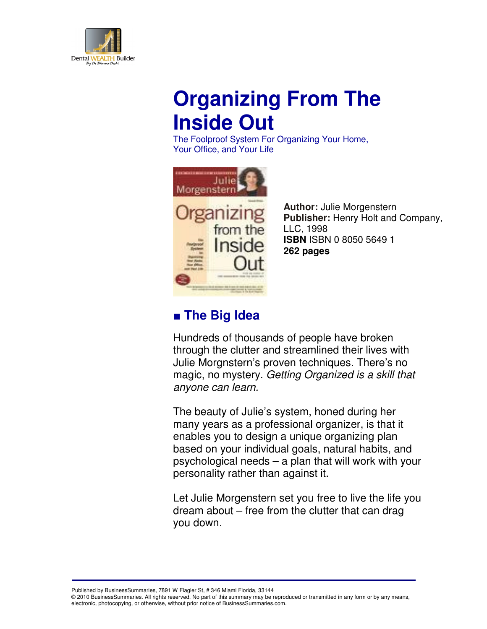

# **Organizing From The Inside Out**

The Foolproof System For Organizing Your Home, Your Office, and Your Life



**Author:** Julie Morgenstern **Publisher:** Henry Holt and Company, LLC, 1998 **ISBN** ISBN 0 8050 5649 1 **262 pages** 

## ■ **The Big Idea**

Hundreds of thousands of people have broken through the clutter and streamlined their lives with Julie Morgnstern's proven techniques. There's no magic, no mystery. Getting Organized is a skill that anyone can learn.

The beauty of Julie's system, honed during her many years as a professional organizer, is that it enables you to design a unique organizing plan based on your individual goals, natural habits, and psychological needs – a plan that will work with your personality rather than against it.

Let Julie Morgenstern set you free to live the life you dream about – free from the clutter that can drag you down.

Published by BusinessSummaries, 7891 W Flagler St, # 346 Miami Florida, 33144

<sup>© 2010</sup> BusinessSummaries. All rights reserved. No part of this summary may be reproduced or transmitted in any form or by any means, electronic, photocopying, or otherwise, without prior notice of BusinessSummaries.com.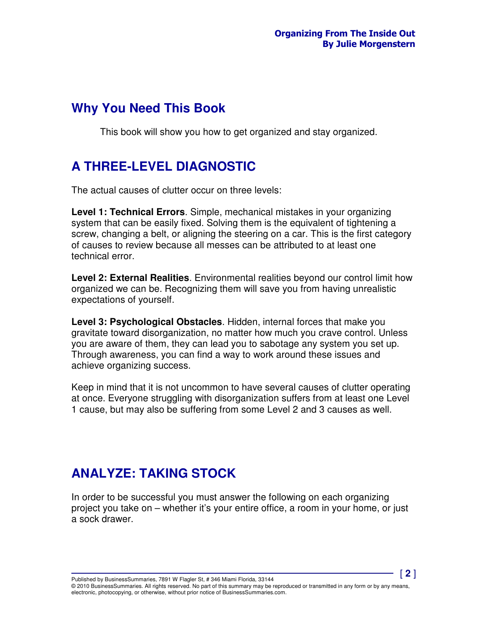### **Why You Need This Book**

This book will show you how to get organized and stay organized.

# **A THREE-LEVEL DIAGNOSTIC**

The actual causes of clutter occur on three levels:

**Level 1: Technical Errors**. Simple, mechanical mistakes in your organizing system that can be easily fixed. Solving them is the equivalent of tightening a screw, changing a belt, or aligning the steering on a car. This is the first category of causes to review because all messes can be attributed to at least one technical error.

**Level 2: External Realities**. Environmental realities beyond our control limit how organized we can be. Recognizing them will save you from having unrealistic expectations of yourself.

**Level 3: Psychological Obstacles**. Hidden, internal forces that make you gravitate toward disorganization, no matter how much you crave control. Unless you are aware of them, they can lead you to sabotage any system you set up. Through awareness, you can find a way to work around these issues and achieve organizing success.

Keep in mind that it is not uncommon to have several causes of clutter operating at once. Everyone struggling with disorganization suffers from at least one Level 1 cause, but may also be suffering from some Level 2 and 3 causes as well.

## **ANALYZE: TAKING STOCK**

In order to be successful you must answer the following on each organizing project you take on – whether it's your entire office, a room in your home, or just a sock drawer.

Published by BusinessSummaries, 7891 W Flagler St, # 346 Miami Florida, 33144 © 2010 BusinessSummaries. All rights reserved. No part of this summary may be reproduced or transmitted in any form or by any means, electronic, photocopying, or otherwise, without prior notice of BusinessSummaries.com.

[ **2** ]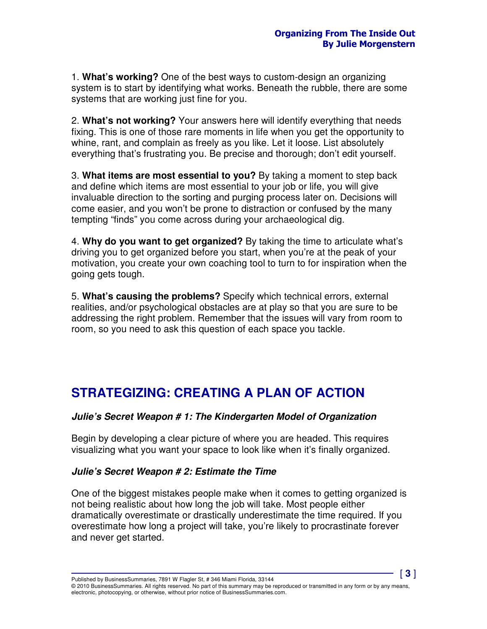1. **What's working?** One of the best ways to custom-design an organizing system is to start by identifying what works. Beneath the rubble, there are some systems that are working just fine for you.

2. **What's not working?** Your answers here will identify everything that needs fixing. This is one of those rare moments in life when you get the opportunity to whine, rant, and complain as freely as you like. Let it loose. List absolutely everything that's frustrating you. Be precise and thorough; don't edit yourself.

3. **What items are most essential to you?** By taking a moment to step back and define which items are most essential to your job or life, you will give invaluable direction to the sorting and purging process later on. Decisions will come easier, and you won't be prone to distraction or confused by the many tempting "finds" you come across during your archaeological dig.

4. **Why do you want to get organized?** By taking the time to articulate what's driving you to get organized before you start, when you're at the peak of your motivation, you create your own coaching tool to turn to for inspiration when the going gets tough.

5. **What's causing the problems?** Specify which technical errors, external realities, and/or psychological obstacles are at play so that you are sure to be addressing the right problem. Remember that the issues will vary from room to room, so you need to ask this question of each space you tackle.

### **STRATEGIZING: CREATING A PLAN OF ACTION**

#### **Julie's Secret Weapon # 1: The Kindergarten Model of Organization**

Begin by developing a clear picture of where you are headed. This requires visualizing what you want your space to look like when it's finally organized.

#### **Julie's Secret Weapon # 2: Estimate the Time**

One of the biggest mistakes people make when it comes to getting organized is not being realistic about how long the job will take. Most people either dramatically overestimate or drastically underestimate the time required. If you overestimate how long a project will take, you're likely to procrastinate forever and never get started.

Published by BusinessSummaries, 7891 W Flagler St, # 346 Miami Florida, 33144 © 2010 BusinessSummaries. All rights reserved. No part of this summary may be reproduced or transmitted in any form or by any means, electronic, photocopying, or otherwise, without prior notice of BusinessSummaries.com. [ **3** ]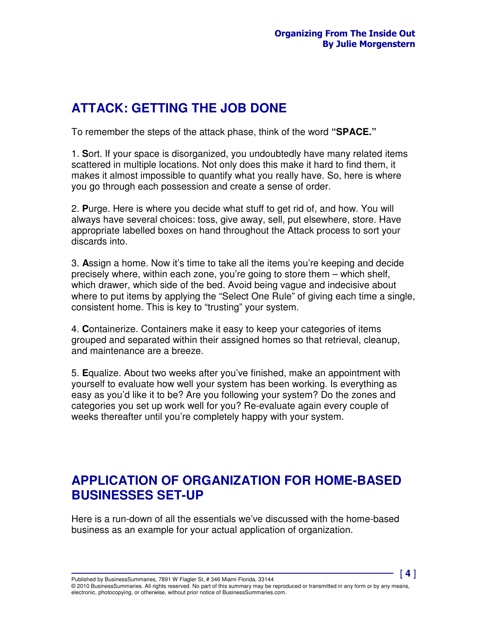### **ATTACK: GETTING THE JOB DONE**

To remember the steps of the attack phase, think of the word **"SPACE."** 

1. **S**ort. If your space is disorganized, you undoubtedly have many related items scattered in multiple locations. Not only does this make it hard to find them, it makes it almost impossible to quantify what you really have. So, here is where you go through each possession and create a sense of order.

2. **P**urge. Here is where you decide what stuff to get rid of, and how. You will always have several choices: toss, give away, sell, put elsewhere, store. Have appropriate labelled boxes on hand throughout the Attack process to sort your discards into.

3. **A**ssign a home. Now it's time to take all the items you're keeping and decide precisely where, within each zone, you're going to store them – which shelf, which drawer, which side of the bed. Avoid being vague and indecisive about where to put items by applying the "Select One Rule" of giving each time a single, consistent home. This is key to "trusting" your system.

4. **C**ontainerize. Containers make it easy to keep your categories of items grouped and separated within their assigned homes so that retrieval, cleanup, and maintenance are a breeze.

5. **E**qualize. About two weeks after you've finished, make an appointment with yourself to evaluate how well your system has been working. Is everything as easy as you'd like it to be? Are you following your system? Do the zones and categories you set up work well for you? Re-evaluate again every couple of weeks thereafter until you're completely happy with your system.

### **APPLICATION OF ORGANIZATION FOR HOME-BASED BUSINESSES SET-UP**

Here is a run-down of all the essentials we've discussed with the home-based business as an example for your actual application of organization.

Published by BusinessSummaries, 7891 W Flagler St, # 346 Miami Florida, 33144 © 2010 BusinessSummaries. All rights reserved. No part of this summary may be reproduced or transmitted in any form or by any means, electronic, photocopying, or otherwise, without prior notice of BusinessSummaries.com.

[ **4** ]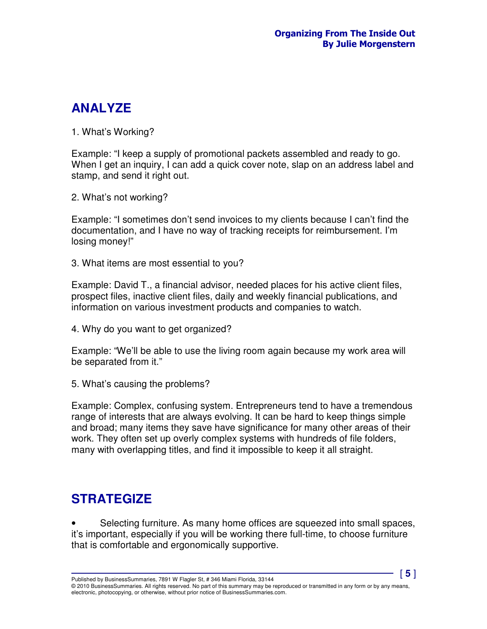# **ANALYZE**

1. What's Working?

Example: "I keep a supply of promotional packets assembled and ready to go. When I get an inquiry, I can add a quick cover note, slap on an address label and stamp, and send it right out.

2. What's not working?

Example: "I sometimes don't send invoices to my clients because I can't find the documentation, and I have no way of tracking receipts for reimbursement. I'm losing money!"

3. What items are most essential to you?

Example: David T., a financial advisor, needed places for his active client files, prospect files, inactive client files, daily and weekly financial publications, and information on various investment products and companies to watch.

4. Why do you want to get organized?

Example: "We'll be able to use the living room again because my work area will be separated from it."

5. What's causing the problems?

Example: Complex, confusing system. Entrepreneurs tend to have a tremendous range of interests that are always evolving. It can be hard to keep things simple and broad; many items they save have significance for many other areas of their work. They often set up overly complex systems with hundreds of file folders, many with overlapping titles, and find it impossible to keep it all straight.

### **STRATEGIZE**

• Selecting furniture. As many home offices are squeezed into small spaces, it's important, especially if you will be working there full-time, to choose furniture that is comfortable and ergonomically supportive.

Published by BusinessSummaries, 7891 W Flagler St, # 346 Miami Florida, 33144 © 2010 BusinessSummaries. All rights reserved. No part of this summary may be reproduced or transmitted in any form or by any means, electronic, photocopying, or otherwise, without prior notice of BusinessSummaries.com. [ **5** ]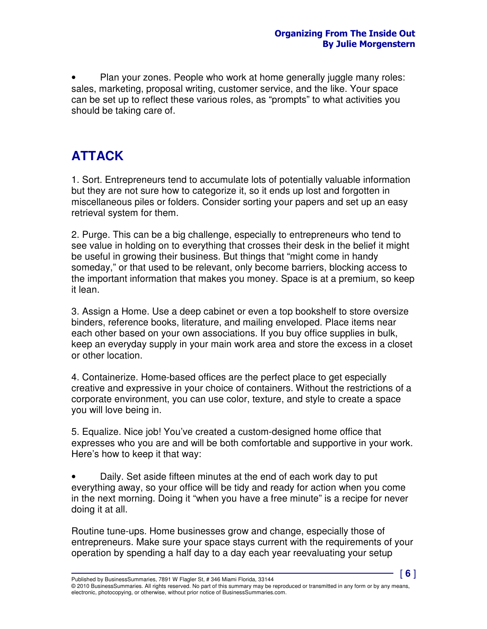• Plan your zones. People who work at home generally juggle many roles: sales, marketing, proposal writing, customer service, and the like. Your space can be set up to reflect these various roles, as "prompts" to what activities you should be taking care of.

## **ATTACK**

1. Sort. Entrepreneurs tend to accumulate lots of potentially valuable information but they are not sure how to categorize it, so it ends up lost and forgotten in miscellaneous piles or folders. Consider sorting your papers and set up an easy retrieval system for them.

2. Purge. This can be a big challenge, especially to entrepreneurs who tend to see value in holding on to everything that crosses their desk in the belief it might be useful in growing their business. But things that "might come in handy someday," or that used to be relevant, only become barriers, blocking access to the important information that makes you money. Space is at a premium, so keep it lean.

3. Assign a Home. Use a deep cabinet or even a top bookshelf to store oversize binders, reference books, literature, and mailing enveloped. Place items near each other based on your own associations. If you buy office supplies in bulk, keep an everyday supply in your main work area and store the excess in a closet or other location.

4. Containerize. Home-based offices are the perfect place to get especially creative and expressive in your choice of containers. Without the restrictions of a corporate environment, you can use color, texture, and style to create a space you will love being in.

5. Equalize. Nice job! You've created a custom-designed home office that expresses who you are and will be both comfortable and supportive in your work. Here's how to keep it that way:

• Daily. Set aside fifteen minutes at the end of each work day to put everything away, so your office will be tidy and ready for action when you come in the next morning. Doing it "when you have a free minute" is a recipe for never doing it at all.

Routine tune-ups. Home businesses grow and change, especially those of entrepreneurs. Make sure your space stays current with the requirements of your operation by spending a half day to a day each year reevaluating your setup

Published by BusinessSummaries, 7891 W Flagler St, # 346 Miami Florida, 33144 © 2010 BusinessSummaries. All rights reserved. No part of this summary may be reproduced or transmitted in any form or by any means, electronic, photocopying, or otherwise, without prior notice of BusinessSummaries.com. [ **6** ]